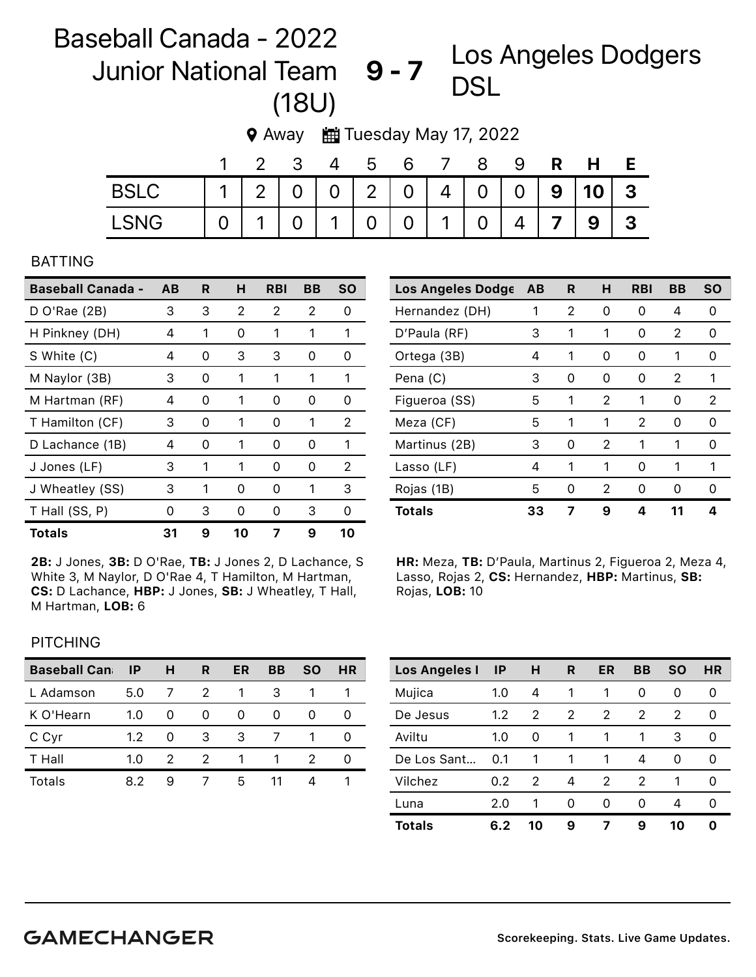## Baseball Canada - 2022 Junior National Team 9-7 DSL (18U) Los Angeles Dodgers

|  | <b>9</b> Away |  | Tuesday May 17, 2022 |  |  |  |
|--|---------------|--|----------------------|--|--|--|
|--|---------------|--|----------------------|--|--|--|

|             |                 |  | 3 4 5 |  | 6 7 8 | - 9 |                 | R H               |                         |
|-------------|-----------------|--|-------|--|-------|-----|-----------------|-------------------|-------------------------|
| <b>BSLC</b> |                 |  |       |  |       |     |                 | 11200020404009103 |                         |
| <b>LSNG</b> | 0 1 0 1 0 0 1 0 |  |       |  |       |     | $4 \mid 7 \mid$ | 9 <sup>1</sup>    | $\overline{\mathbf{3}}$ |

## BATTING

| <b>Baseball Canada - AB</b> |    | R | н  | <b>RBI</b> | BВ       | <b>SO</b> |
|-----------------------------|----|---|----|------------|----------|-----------|
| $D$ O'Rae (2B)              | 3  | 3 | 2  | 2          | 2        | 0         |
| H Pinkney (DH)              | 4  | 1 | Ω  | 1          |          | 1         |
| S White (C)                 | 4  | 0 | 3  | 3          | O)       | O)        |
| M Naylor (3B)               | 3  | 0 | 1  | 1          | 1        | 1         |
| M Hartman (RF)              | 4  | 0 | 1  | 0          | 0        | 0         |
| T Hamilton (CF)             | 3  | 0 | 1  | 0          | 1        | 2         |
| D Lachance (1B)             | 4  | 0 | 1  | O          | O        | 1         |
| J Jones (LF)                | 3  | 1 | 1  | 0          | $\Omega$ | 2         |
| J Wheatley (SS)             | 3  | 1 | 0  | O          | 1        | 3         |
| T Hall (SS, P)              | O) | 3 | Ω  | O          | 3        | O)        |
| <b>Totals</b>               | 31 | 9 | 10 | 7          | 9        | 10        |

2B: J Jones, 3B: D O'Rae, TB: J Jones 2, D Lachance, S White 3, M Naylor, D O'Rae 4, T Hamilton, M Hartman, CS: D Lachance, HBP: J Jones, SB: J Wheatley, T Hall, M Hartman, LOB: 6

| Los Angeles Dodge | AB | R. | н | <b>RBI</b> | ΒB | <b>SO</b> |
|-------------------|----|----|---|------------|----|-----------|
| Hernandez (DH)    | 1  | 2  | 0 | O)         | 4  | Ω         |
| D'Paula (RF)      | 3  | 1  | 1 | 0          | 2  | Ω         |
| Ortega (3B)       | 4  | 1  | 0 | O          | 1  | O         |
| Pena (C)          | 3  | O  | O | 0          | 2  | 1         |
| Figueroa (SS)     | 5  | 1  | 2 | 1          | 0  | 2         |
| Meza (CF)         | 5  | 1  | 1 | 2          | 0  | 0         |
| Martinus (2B)     | 3  | 0  | 2 | 1          | 1  | O         |
| Lasso (LF)        | 4  | 1  | 1 | O          | 1  | 1         |
| Rojas (1B)        | 5  | U  | 2 | O          | O  | O         |
| <b>Totals</b>     | 33 |    | 9 | Δ          | 11 | Δ         |

HR: Meza, TB: D'Paula, Martinus 2, Figueroa 2, Meza 4, Lasso, Rojas 2, CS: Hernandez, HBP: Martinus, SB: Rojas, LOB: 10

## **PITCHING**

| <b>Baseball Can</b> | ΙP  | н | R | ER | ВB | SΟ | HR |
|---------------------|-----|---|---|----|----|----|----|
| L Adamson           | 5.0 |   | 2 |    | З  |    |    |
| K O'Hearn           | 1.0 | 0 | Ω |    |    |    |    |
| C Cyr               | 1.2 | 0 | 3 | 3  |    |    |    |
| T Hall              | 1.0 | 2 | 2 |    |    |    |    |
| Totals              | 82  | 9 |   | 5  |    |    |    |

| <b>Los Angeles I</b> | $\mathsf{I}$ | н  | R | ER            | BB | <b>SO</b> | HR |
|----------------------|--------------|----|---|---------------|----|-----------|----|
| Mujica               | 1.0          | 4  |   |               | 0  | 0         | Ω  |
| De Jesus             | 1.2          | 2  | 2 | $\mathcal{P}$ | 2  | 2         | 0  |
| Aviltu               | 1.0          | 0  | 1 | 1             | 1  | 3         | Ω  |
| De Los Sant          | 0.1          | 1  | 1 | 1             | 4  | 0         | 0  |
| Vilchez              | 0.2          | 2  | 4 | 2             | 2  | 1         | Ω  |
| Luna                 | 2.0          | 1  | O | O             | O  | 4         | Ω  |
| <b>Totals</b>        | 6.2          | 10 | 9 |               | 9  | 10        | Ω  |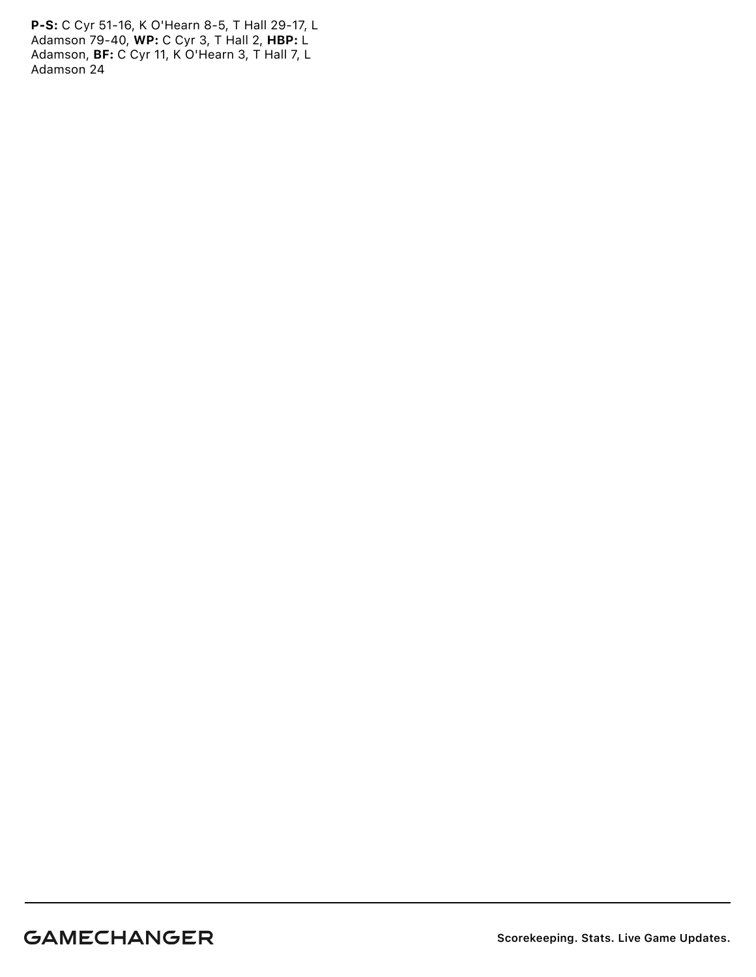P-S: C Cyr 51-16, K O'Hearn 8-5, T Hall 29-17, L Adamson 79-40, WP: C Cyr 3, T Hall 2, HBP: L Adamson, BF: C Cyr 11, K O'Hearn 3, T Hall 7, L Adamson 24